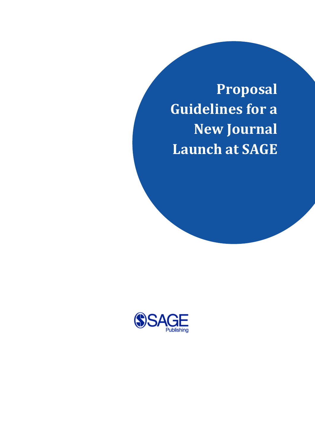**Proposal Guidelines for a New Journal Launch at SAGE**

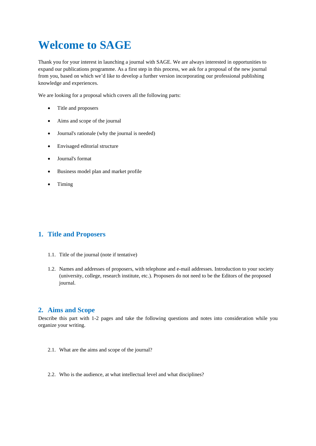# **Welcome to SAGE**

Thank you for your interest in launching a journal with SAGE. We are always interested in opportunities to expand our publications programme. As a first step in this process, we ask for a proposal of the new journal from you, based on which we'd like to develop a further version incorporating our professional publishing knowledge and experiences.

We are looking for a proposal which covers all the following parts:

- Title and proposers
- Aims and scope of the journal
- Journal's rationale (why the journal is needed)
- Envisaged editorial structure
- Journal's format
- Business model plan and market profile
- Timing

#### **1. Title and Proposers**

- 1.1. Title of the journal (note if tentative)
- 1.2. Names and addresses of proposers, with telephone and e-mail addresses. Introduction to your society (university, college, research institute, etc.). Proposers do not need to be the Editors of the proposed journal.

#### **2. Aims and Scope**

Describe this part with 1-2 pages and take the following questions and notes into consideration while you organize your writing.

- 2.1. What are the aims and scope of the journal?
- 2.2. Who is the audience, at what intellectual level and what disciplines?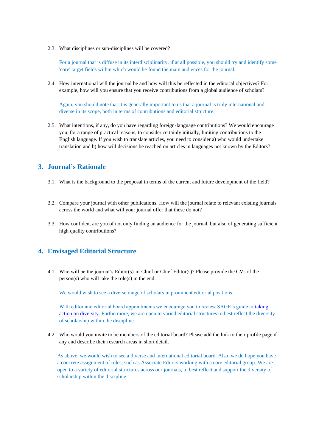2.3. What disciplines or sub-disciplines will be covered?

For a journal that is diffuse in its interdisciplinarity, if at all possible, you should try and identify some 'core' target fields within which would be found the main audiences for the journal.

2.4. How international will the journal be and how will this be reflected in the editorial objectives? For example, how will you ensure that you receive contributions from a global audience of scholars?

Again, you should note that it is generally important to us that a journal is truly international and diverse in its scope, both in terms of contributions and editorial structure.

2.5. What intentions, if any, do you have regarding foreign-language contributions? We would encourage you, for a range of practical reasons, to consider certainly initially, limiting contributions to the English language. If you wish to translate articles, you need to consider a) who would undertake translation and b) how will decisions be reached on articles in languages not known by the Editors?

#### **3. Journal's Rationale**

- 3.1. What is the background to the proposal in terms of the current and future development of the field?
- 3.2. Compare your journal with other publications. How will the journal relate to relevant existing journals across the world and what will your journal offer that these do not?
- 3.3. How confident are you of not only finding an audience for the journal, but also of generating sufficient high quality contributions?

#### **4. Envisaged Editorial Structure**

4.1. Who will be the journal's Editor(s)-in-Chief or Chief Editor(s)? Please provide the CVs of the person(s) who will take the role(s) in the end.

We would wish to see a diverse range of scholars in prominent editorial positions.

With editor and editorial board appointments we encourage you to review SAGE's guide to taking [action on diversity.](https://uk.sagepub.com/en-gb/eur/taking-action-on-diversity) Furthermore, we are open to varied editorial structures to best reflect the diversity of scholarship within the discipline.

4.2. Who would you invite to be members of the editorial board? Please add the link to their profile page if any and describe their research areas in short detail.

As above, we would wish to see a diverse and international editorial board. Also, we do hope you have a concrete assignment of roles, such as Associate Editors working with a core editorial group. We are open to a variety of editorial structures across our journals, to best reflect and support the diversity of scholarship within the discipline.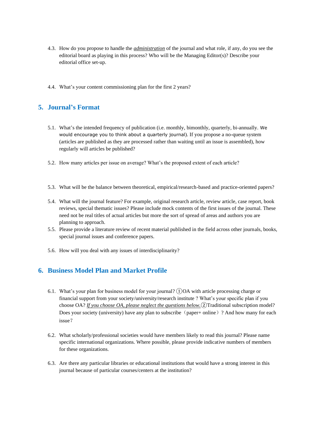- 4.3. How do you propose to handle the *administration* of the journal and what role, if any, do you see the editorial board as playing in this process? Who will be the Managing Editor(s)? Describe your editorial office set-up.
- 4.4. What's your content commissioning plan for the first 2 years?

## **5. Journal's Format**

- 5.1. What's the intended frequency of publication (i.e. monthly, bimonthly, quarterly, bi-annually. We would encourage you to think about a quarterly journal). If you propose a no-queue system (articles are published as they are processed rather than waiting until an issue is assembled), how regularly will articles be published?
- 5.2. How many articles per issue on average? What's the proposed extent of each article?
- 5.3. What will be the balance between theoretical, empirical/research-based and practice-oriented papers?
- 5.4. What will the journal feature? For example, original research article, review article, case report, book reviews, special thematic issues? Please include mock contents of the first issues of the journal. These need not be real titles of actual articles but more the sort of spread of areas and authors you are planning to approach.
- 5.5. Please provide a literature review of recent material published in the field across other journals, books, special journal issues and conference papers.
- 5.6. How will you deal with any issues of interdisciplinarity?

## **6. Business Model Plan and Market Profile**

- 6.1. What's your plan for business model for your journal? ①OA with article processing charge or financial support from your society/university/research institute ? What's your specific plan if you choose OA? *If you choose OA, please neglect the questions below.*②Traditional subscription model? Does your society (university) have any plan to subscribe (paper+ online) ? And how many for each issue?
- 6.2. What scholarly/professional societies would have members likely to read this journal? Please name specific international organizations. Where possible, please provide indicative numbers of members for these organizations.
- 6.3. Are there any particular libraries or educational institutions that would have a strong interest in this journal because of particular courses/centers at the institution?